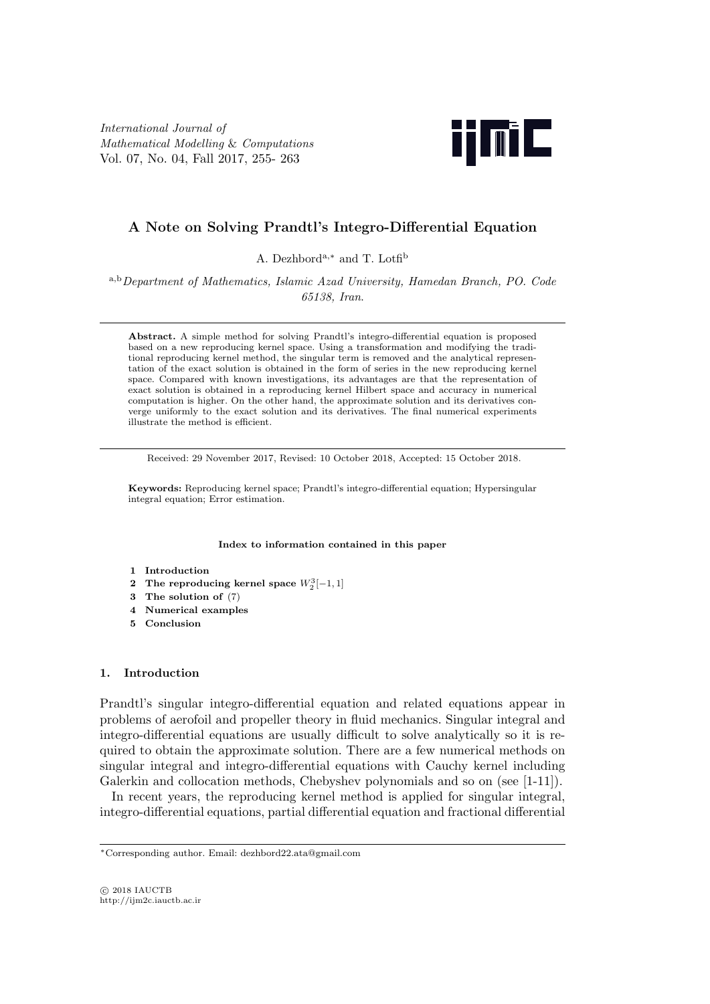International Journal of Mathematical Modelling & Computations Vol. 07, No. 04, Fall 2017, 255- 263



# A Note on Solving Prandtl's Integro-Differential Equation

A. Dezhbord<sup>a,∗</sup> and T. Lotfi<sup>b</sup>

<sup>a</sup>,bDepartment of Mathematics, Islamic Azad University, Hamedan Branch, PO. Code 65138, Iran.

Abstract. A simple method for solving Prandtl's integro-differential equation is proposed based on a new reproducing kernel space. Using a transformation and modifying the traditional reproducing kernel method, the singular term is removed and the analytical representation of the exact solution is obtained in the form of series in the new reproducing kernel space. Compared with known investigations, its advantages are that the representation of exact solution is obtained in a reproducing kernel Hilbert space and accuracy in numerical computation is higher. On the other hand, the approximate solution and its derivatives converge uniformly to the exact solution and its derivatives. The final numerical experiments illustrate the method is efficient.

Received: 29 November 2017, Revised: 10 October 2018, Accepted: 15 October 2018.

Keywords: Reproducing kernel space; Prandtl's integro-differential equation; Hypersingular integral equation; Error estimation.

#### Index to information contained in this paper

- 1 Introduction
- 2 The reproducing kernel space  $W_2^3[-1,1]$
- 3 The solution of (7)
- 4 Numerical examples
- 5 Conclusion

### 1. Introduction

Prandtl's singular integro-differential equation and related equations appear in problems of aerofoil and propeller theory in fluid mechanics. Singular integral and integro-differential equations are usually difficult to solve analytically so it is required to obtain the approximate solution. There are a few numerical methods on singular integral and integro-differential equations with Cauchy kernel including Galerkin and collocation methods, Chebyshev polynomials and so on (see [1-11]).

In recent years, the reproducing kernel method is applied for singular integral, integro-differential equations, partial differential equation and fractional differential

<sup>∗</sup>Corresponding author. Email: dezhbord22.ata@gmail.com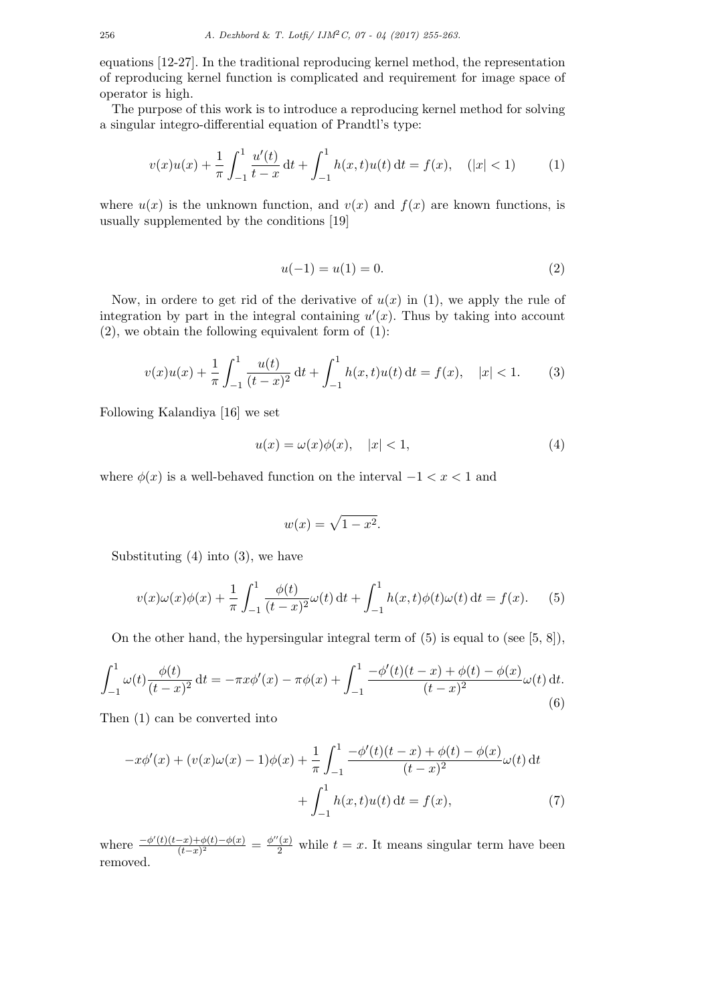equations [12-27]. In the traditional reproducing kernel method, the representation of reproducing kernel function is complicated and requirement for image space of operator is high.

The purpose of this work is to introduce a reproducing kernel method for solving a singular integro-differential equation of Prandtl's type:

$$
v(x)u(x) + \frac{1}{\pi} \int_{-1}^{1} \frac{u'(t)}{t - x} dt + \int_{-1}^{1} h(x, t)u(t) dt = f(x), \quad (|x| < 1) \tag{1}
$$

where  $u(x)$  is the unknown function, and  $v(x)$  and  $f(x)$  are known functions, is usually supplemented by the conditions [19]

$$
u(-1) = u(1) = 0.
$$
 (2)

Now, in ordere to get rid of the derivative of  $u(x)$  in (1), we apply the rule of integration by part in the integral containing  $u'(x)$ . Thus by taking into account  $(2)$ , we obtain the following equivalent form of  $(1)$ :

$$
v(x)u(x) + \frac{1}{\pi} \int_{-1}^{1} \frac{u(t)}{(t-x)^2} dt + \int_{-1}^{1} h(x,t)u(t) dt = f(x), \quad |x| < 1. \tag{3}
$$

Following Kalandiya [16] we set

$$
u(x) = \omega(x)\phi(x), \quad |x| < 1,\tag{4}
$$

where  $\phi(x)$  is a well-behaved function on the interval  $-1 < x < 1$  and

$$
w(x) = \sqrt{1 - x^2}.
$$

Substituting  $(4)$  into  $(3)$ , we have

$$
v(x)\omega(x)\phi(x) + \frac{1}{\pi} \int_{-1}^{1} \frac{\phi(t)}{(t-x)^2} \omega(t) dt + \int_{-1}^{1} h(x,t)\phi(t)\omega(t) dt = f(x).
$$
 (5)

On the other hand, the hypersingular integral term of  $(5)$  is equal to (see  $(5, 8)$ ),

$$
\int_{-1}^{1} \omega(t) \frac{\phi(t)}{(t-x)^2} dt = -\pi x \phi'(x) - \pi \phi(x) + \int_{-1}^{1} \frac{-\phi'(t)(t-x) + \phi(t) - \phi(x)}{(t-x)^2} \omega(t) dt.
$$
\n(6)

Then (1) can be converted into

$$
-x\phi'(x) + (v(x)\omega(x) - 1)\phi(x) + \frac{1}{\pi} \int_{-1}^{1} \frac{-\phi'(t)(t - x) + \phi(t) - \phi(x)}{(t - x)^2} \omega(t) dt
$$

$$
+ \int_{-1}^{1} h(x, t)u(t) dt = f(x), \tag{7}
$$

where  $\frac{-\phi'(t)(t-x)+\phi(t)-\phi(x)}{(t-x)^2}$  $\frac{-x)+\phi(t)-\phi(x)}{(t-x)^2} = \frac{\phi''(x)}{2}$  while  $t = x$ . It means singular term have been removed.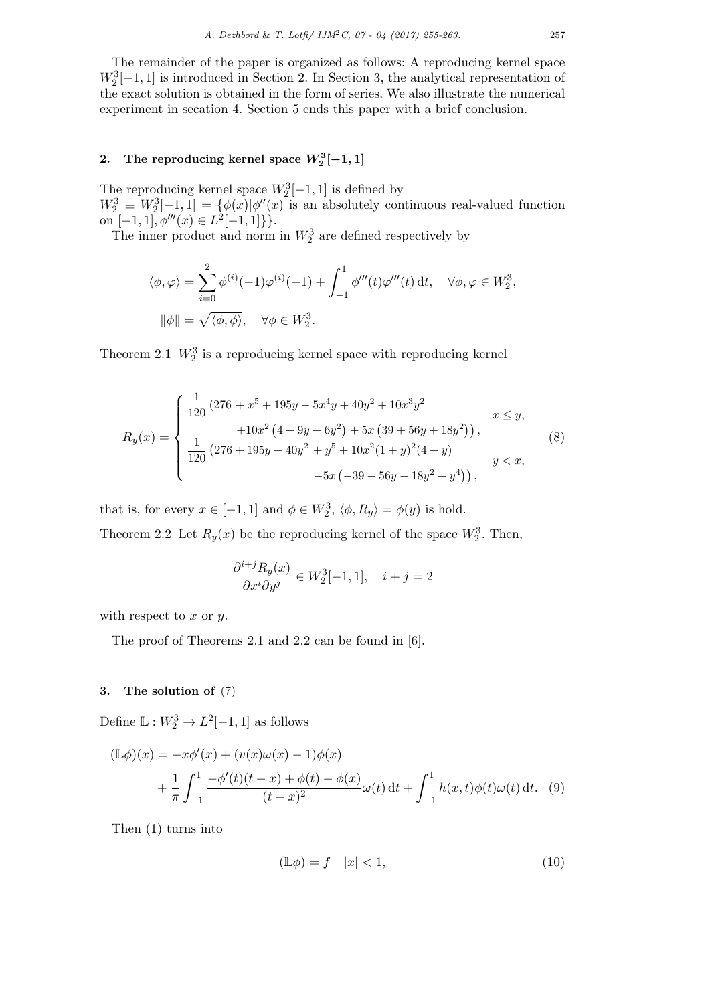The remainder of the paper is organized as follows: A reproducing kernel space  $W_2^3[-1,1]$  is introduced in Section 2. In Section 3, the analytical representation of the exact solution is obtained in the form of series. We also illustrate the numerical experiment in secation 4. Section 5 ends this paper with a brief conclusion.

# 2. The reproducing kernel space  $W_2^3[-1,1]$

The reproducing kernel space  $W_2^3[-1,1]$  is defined by  $W_2^3 \equiv W_2^3[-1,1] = \{ \phi(x) | \phi''(x) \}$  is an absolutely continuous real-valued function on  $[-1, 1], \phi'''(x) \in L^2[-1, 1]\}.$ 

The inner product and norm in  $W_2^3$  are defined respectively by

$$
\langle \phi, \varphi \rangle = \sum_{i=0}^{2} \phi^{(i)}(-1)\varphi^{(i)}(-1) + \int_{-1}^{1} \phi'''(t)\varphi'''(t) dt, \quad \forall \phi, \varphi \in W_2^3,
$$
  

$$
\|\phi\| = \sqrt{\langle \phi, \phi \rangle}, \quad \forall \phi \in W_2^3.
$$

Theorem 2.1  $W_2^3$  is a reproducing kernel space with reproducing kernel

$$
R_y(x) = \begin{cases} \frac{1}{120} \left( 276 + x^5 + 195y - 5x^4y + 40y^2 + 10x^3y^2 + 10x^2(4 + 9y + 6y^2) + 5x(39 + 56y + 18y^2) \right), & x \le y, \\ \frac{1}{120} \left( 276 + 195y + 40y^2 + y^5 + 10x^2(1 + y)^2(4 + y) + 5x(-39 - 56y - 18y^2 + y^4) \right), & y < x, \end{cases}
$$
(8)

that is, for every  $x \in [-1, 1]$  and  $\phi \in W_2^3$ ,  $\langle \phi, R_y \rangle = \phi(y)$  is hold. Theorem 2.2 Let  $R_y(x)$  be the reproducing kernel of the space  $W_2^3$ . Then,

$$
\frac{\partial^{i+j} R_y(x)}{\partial x^i \partial y^j} \in W_2^3[-1,1], \quad i+j=2
$$

with respect to  $x$  or  $y$ .

The proof of Theorems 2.1 and 2.2 can be found in [6].

## 3. The solution of (7)

Define  $\mathbb{L}: W_2^3 \to L^2[-1,1]$  as follows

$$
(\mathbb{L}\phi)(x) = -x\phi'(x) + (v(x)\omega(x) - 1)\phi(x) + \frac{1}{\pi} \int_{-1}^{1} \frac{-\phi'(t)(t-x) + \phi(t) - \phi(x)}{(t-x)^2} \omega(t) dt + \int_{-1}^{1} h(x,t)\phi(t)\omega(t) dt.
$$
 (9)

Then (1) turns into

$$
(\mathbb{L}\phi) = f \quad |x| < 1,\tag{10}
$$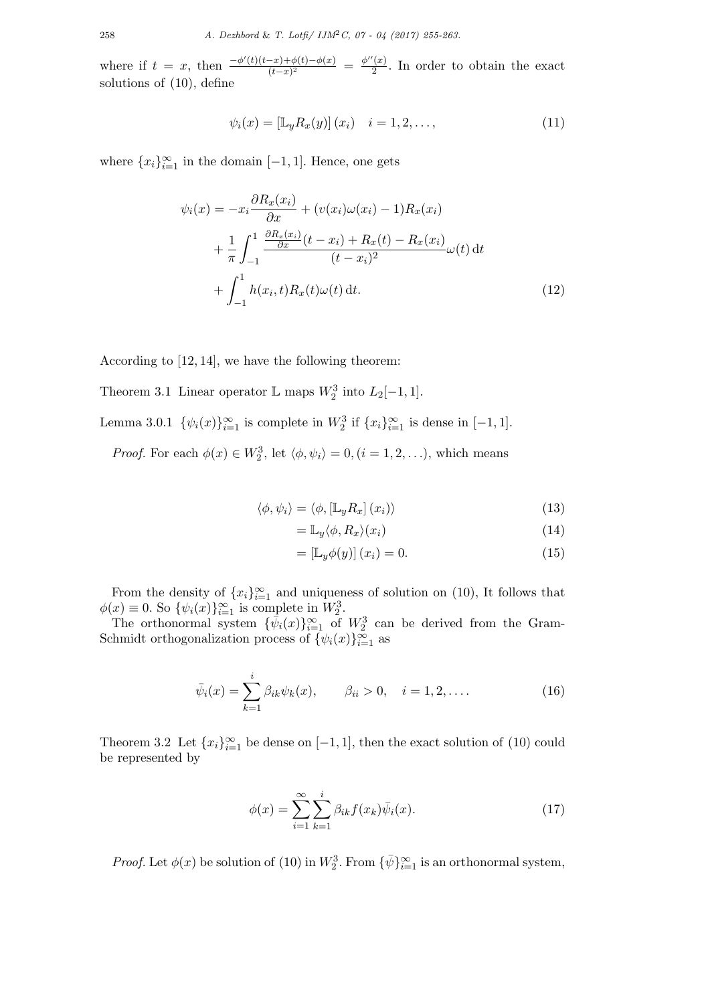where if  $t = x$ , then  $\frac{-\phi'(t)(t-x)+\phi(t)-\phi(x)}{(t-x)^2}$  $\frac{-x)+\phi(t)-\phi(x)}{(t-x)^2} = \frac{\phi''(x)}{2}$  $\frac{y(x)}{2}$ . In order to obtain the exact solutions of (10), define

$$
\psi_i(x) = [\mathbb{L}_y R_x(y)] (x_i) \quad i = 1, 2, ..., \qquad (11)
$$

where  ${x_i}_{i=1}^{\infty}$  in the domain [-1, 1]. Hence, one gets

$$
\psi_i(x) = -x_i \frac{\partial R_x(x_i)}{\partial x} + (v(x_i)\omega(x_i) - 1)R_x(x_i) \n+ \frac{1}{\pi} \int_{-1}^1 \frac{\frac{\partial R_x(x_i)}{\partial x}(t - x_i) + R_x(t) - R_x(x_i)}{(t - x_i)^2} \omega(t) dt \n+ \int_{-1}^1 h(x_i, t)R_x(t)\omega(t) dt.
$$
\n(12)

According to [12, 14], we have the following theorem:

Theorem 3.1 Linear operator  $\mathbb L$  maps  $W_2^3$  into  $L_2[-1,1]$ .

Lemma 3.0.1  $\{\psi_i(x)\}_{i=1}^{\infty}$  is complete in  $W_2^3$  if  $\{x_i\}_{i=1}^{\infty}$  is dense in  $[-1, 1]$ .

*Proof.* For each  $\phi(x) \in W_2^3$ , let  $\langle \phi, \psi_i \rangle = 0$ ,  $(i = 1, 2, \ldots)$ , which means

$$
\langle \phi, \psi_i \rangle = \langle \phi, [\mathbb{L}_y R_x] (x_i) \rangle \tag{13}
$$

$$
= \mathbb{L}_y \langle \phi, R_x \rangle (x_i) \tag{14}
$$

$$
= [\mathbb{L}_y \phi(y)] (x_i) = 0.
$$
 (15)

From the density of  ${x_i}_{i=1}^{\infty}$  and uniqueness of solution on (10), It follows that  $\phi(x) \equiv 0$ . So  $\{\psi_i(x)\}_{i=1}^{\infty}$  is complete in  $W_2^3$ .

The orthonormal system  $\{\bar{\psi}_i(x)\}_{i=1}^{\infty}$  of  $W_2^3$  can be derived from the Gram-Schmidt orthogonalization process of  $\{\psi_i(x)\}_{i=1}^{\infty}$  as

$$
\bar{\psi}_i(x) = \sum_{k=1}^i \beta_{ik} \psi_k(x), \qquad \beta_{ii} > 0, \quad i = 1, 2, .... \tag{16}
$$

Theorem 3.2 Let  ${x_i}_{i=1}^{\infty}$  be dense on  $[-1, 1]$ , then the exact solution of (10) could be represented by

$$
\phi(x) = \sum_{i=1}^{\infty} \sum_{k=1}^{i} \beta_{ik} f(x_k) \bar{\psi}_i(x).
$$
 (17)

*Proof.* Let  $\phi(x)$  be solution of (10) in  $W_2^3$ . From  $\{\bar{\psi}\}_{i=1}^{\infty}$  is an orthonormal system,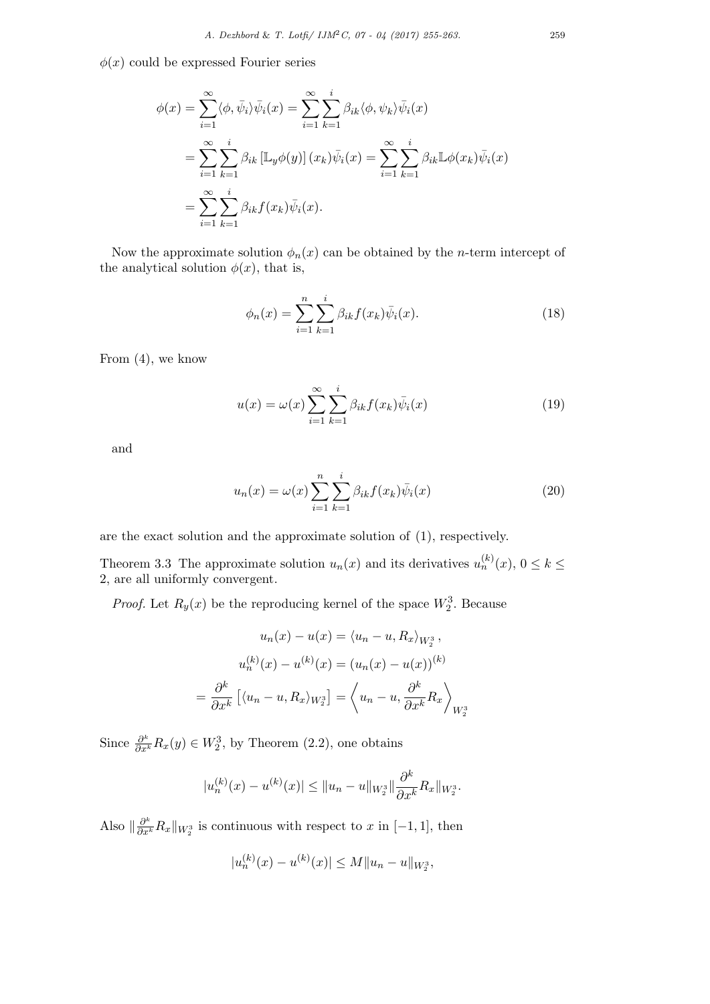$\phi(x)$  could be expressed Fourier series

$$
\phi(x) = \sum_{i=1}^{\infty} \langle \phi, \bar{\psi}_i \rangle \bar{\psi}_i(x) = \sum_{i=1}^{\infty} \sum_{k=1}^{i} \beta_{ik} \langle \phi, \psi_k \rangle \bar{\psi}_i(x)
$$
  

$$
= \sum_{i=1}^{\infty} \sum_{k=1}^{i} \beta_{ik} \left[ \mathbb{L}_y \phi(y) \right](x_k) \bar{\psi}_i(x) = \sum_{i=1}^{\infty} \sum_{k=1}^{i} \beta_{ik} \mathbb{L} \phi(x_k) \bar{\psi}_i(x)
$$
  

$$
= \sum_{i=1}^{\infty} \sum_{k=1}^{i} \beta_{ik} f(x_k) \bar{\psi}_i(x).
$$

Now the approximate solution  $\phi_n(x)$  can be obtained by the *n*-term intercept of the analytical solution  $\phi(x)$ , that is,

$$
\phi_n(x) = \sum_{i=1}^n \sum_{k=1}^i \beta_{ik} f(x_k) \bar{\psi}_i(x).
$$
 (18)

From (4), we know

$$
u(x) = \omega(x) \sum_{i=1}^{\infty} \sum_{k=1}^{i} \beta_{ik} f(x_k) \bar{\psi}_i(x)
$$
 (19)

and

$$
u_n(x) = \omega(x) \sum_{i=1}^n \sum_{k=1}^i \beta_{ik} f(x_k) \bar{\psi}_i(x)
$$
\n(20)

are the exact solution and the approximate solution of (1), respectively.

Theorem 3.3 The approximate solution  $u_n(x)$  and its derivatives  $u_n^{(k)}(x)$ ,  $0 \le k \le$ 2, are all uniformly convergent.

*Proof.* Let  $R_y(x)$  be the reproducing kernel of the space  $W_2^3$ . Because

$$
u_n(x) - u(x) = \langle u_n - u, R_x \rangle_{W_2^3},
$$

$$
u_n^{(k)}(x) - u^{(k)}(x) = (u_n(x) - u(x))^{(k)}
$$

$$
= \frac{\partial^k}{\partial x^k} \left[ \langle u_n - u, R_x \rangle_{W_2^3} \right] = \left\langle u_n - u, \frac{\partial^k}{\partial x^k} R_x \right\rangle_{W_2^3}
$$

Since  $\frac{\partial^k}{\partial x^k} R_x(y) \in W_2^3$ , by Theorem (2.2), one obtains

$$
|u_n^{(k)}(x) - u^{(k)}(x)| \le ||u_n - u||_{W_2^3} \|\frac{\partial^k}{\partial x^k} R_x\|_{W_2^3}.
$$

Also  $\|\frac{\partial^k}{\partial x^k}R_x\|_{W_2^3}$  is continuous with respect to x in [−1, 1], then

$$
|u_n^{(k)}(x) - u^{(k)}(x)| \le M \|u_n - u\|_{W_2^3},
$$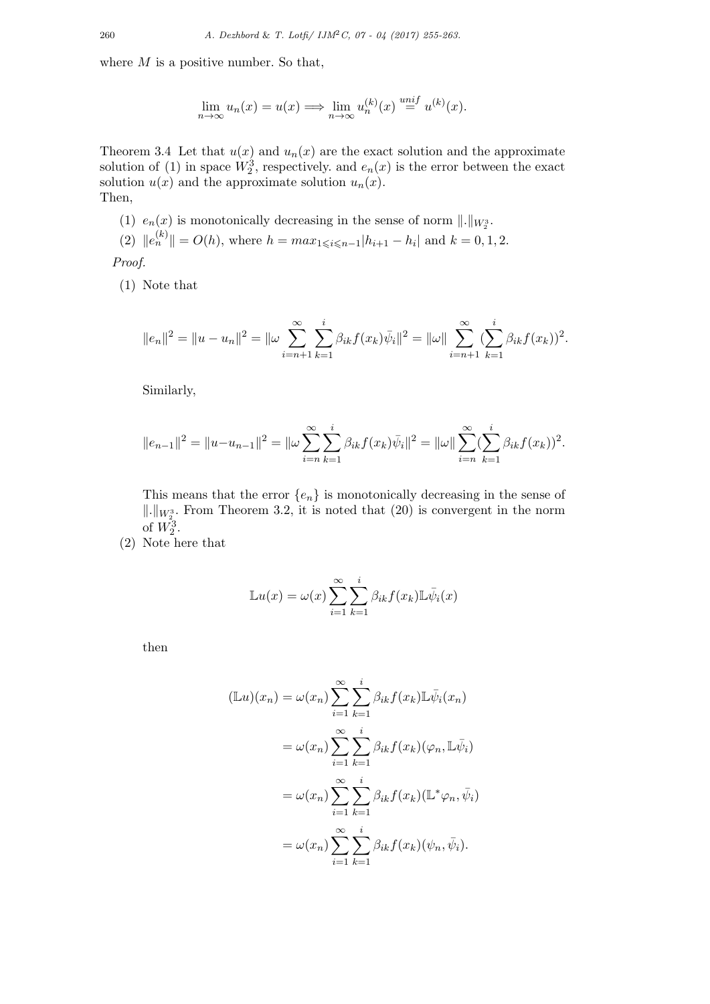where  $M$  is a positive number. So that,

$$
\lim_{n \to \infty} u_n(x) = u(x) \Longrightarrow \lim_{n \to \infty} u_n^{(k)}(x) \stackrel{unif}{=} u^{(k)}(x).
$$

Theorem 3.4 Let that  $u(x)$  and  $u_n(x)$  are the exact solution and the approximate solution of (1) in space  $W_2^3$ , respectively. and  $e_n(x)$  is the error between the exact solution  $u(x)$  and the approximate solution  $u_n(x)$ . Then,

(1)  $e_n(x)$  is monotonically decreasing in the sense of norm  $\|\cdot\|_{W_2^3}$ . (2)  $||e_n^{(k)}|| = O(h)$ , where  $h = max_{1 \leq i \leq n-1} |h_{i+1} - h_i|$  and  $k = 0, 1, 2$ .

Proof.

(1) Note that

$$
||e_n||^2 = ||u - u_n||^2 = ||\omega \sum_{i=n+1}^{\infty} \sum_{k=1}^{i} \beta_{ik} f(x_k) \overline{\psi}_i||^2 = ||\omega|| \sum_{i=n+1}^{\infty} (\sum_{k=1}^{i} \beta_{ik} f(x_k))^2.
$$

Similarly,

$$
||e_{n-1}||^2 = ||u - u_{n-1}||^2 = ||\omega \sum_{i=n}^{\infty} \sum_{k=1}^{i} \beta_{ik} f(x_k) \overline{\psi}_i||^2 = ||\omega|| \sum_{i=n}^{\infty} (\sum_{k=1}^{i} \beta_{ik} f(x_k))^2.
$$

This means that the error  $\{e_n\}$  is monotonically decreasing in the sense of  $\Vert . \Vert_{W_2^3}$ . From Theorem 3.2, it is noted that (20) is convergent in the norm of  $W_2^3$ .

(2) Note here that

$$
\mathbb{L}u(x) = \omega(x) \sum_{i=1}^{\infty} \sum_{k=1}^{i} \beta_{ik} f(x_k) \mathbb{L} \bar{\psi}_i(x)
$$

then

$$
(\mathbb{L}u)(x_n) = \omega(x_n) \sum_{i=1}^{\infty} \sum_{k=1}^{i} \beta_{ik} f(x_k) \mathbb{L} \bar{\psi}_i(x_n)
$$
  

$$
= \omega(x_n) \sum_{i=1}^{\infty} \sum_{k=1}^{i} \beta_{ik} f(x_k) (\varphi_n, \mathbb{L} \bar{\psi}_i)
$$
  

$$
= \omega(x_n) \sum_{i=1}^{\infty} \sum_{k=1}^{i} \beta_{ik} f(x_k) (\mathbb{L}^* \varphi_n, \bar{\psi}_i)
$$
  

$$
= \omega(x_n) \sum_{i=1}^{\infty} \sum_{k=1}^{i} \beta_{ik} f(x_k) (\psi_n, \bar{\psi}_i).
$$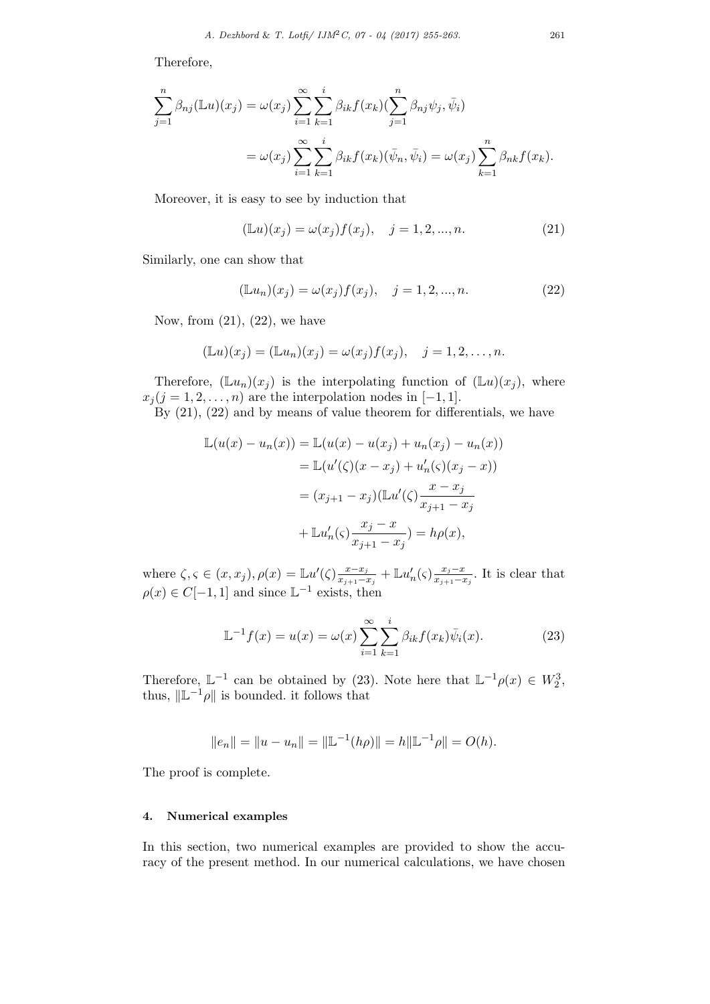Therefore,

$$
\sum_{j=1}^{n} \beta_{nj}(\mathbb{L}u)(x_j) = \omega(x_j) \sum_{i=1}^{\infty} \sum_{k=1}^{i} \beta_{ik} f(x_k) (\sum_{j=1}^{n} \beta_{nj} \psi_j, \bar{\psi}_i)
$$
  

$$
= \omega(x_j) \sum_{i=1}^{\infty} \sum_{k=1}^{i} \beta_{ik} f(x_k) (\bar{\psi}_n, \bar{\psi}_i) = \omega(x_j) \sum_{k=1}^{n} \beta_{nk} f(x_k).
$$

Moreover, it is easy to see by induction that

$$
(\mathbb{L}u)(x_j) = \omega(x_j)f(x_j), \quad j = 1, 2, ..., n.
$$
 (21)

Similarly, one can show that

$$
(\mathbb{L}u_n)(x_j) = \omega(x_j)f(x_j), \quad j = 1, 2, ..., n.
$$
 (22)

Now, from  $(21)$ ,  $(22)$ , we have

$$
(\mathbb{L}u)(x_j) = (\mathbb{L}u_n)(x_j) = \omega(x_j)f(x_j), \quad j = 1, 2, \dots, n.
$$

Therefore,  $(\mathbb{L}u_n)(x_j)$  is the interpolating function of  $(\mathbb{L}u)(x_j)$ , where  $x_j$  (j = 1, 2, ..., n) are the interpolation nodes in [-1, 1].

By (21), (22) and by means of value theorem for differentials, we have

$$
\mathbb{L}(u(x) - u_n(x)) = \mathbb{L}(u(x) - u(x_j) + u_n(x_j) - u_n(x))
$$
  
=  $\mathbb{L}(u'(\zeta)(x - x_j) + u'_n(\zeta)(x_j - x))$   
=  $(x_{j+1} - x_j)(\mathbb{L}u'(\zeta)\frac{x - x_j}{x_{j+1} - x_j} + \mathbb{L}u'_n(\zeta)\frac{x_j - x}{x_{j+1} - x_j}) = h\rho(x),$ 

where  $\zeta, \zeta \in (x, x_j), \rho(x) = \mathbb{L}u'(\zeta) \frac{x - x_j}{x_{j+1} - x_j}$  $\frac{x-x_j}{x_{j+1}-x_j} + \mathbb{L}u'_n(\varsigma)\frac{x_j-x_j}{x_{j+1}-x_j}$  $\frac{x_j-x}{x_{j+1}-x_j}$ . It is clear that  $\rho(x) \in C[-1,1]$  and since  $\mathbb{L}^{-1}$  exists, then

$$
\mathbb{L}^{-1}f(x) = u(x) = \omega(x) \sum_{i=1}^{\infty} \sum_{k=1}^{i} \beta_{ik} f(x_k) \bar{\psi}_i(x).
$$
 (23)

Therefore,  $\mathbb{L}^{-1}$  can be obtained by (23). Note here that  $\mathbb{L}^{-1}\rho(x) \in W_2^3$ , thus,  $\|\mathbb{L}^{-1}\rho\|$  is bounded. it follows that

$$
||e_n|| = ||u - u_n|| = ||\mathbb{L}^{-1}(h\rho)|| = h||\mathbb{L}^{-1}\rho|| = O(h).
$$

The proof is complete.

#### 4. Numerical examples

In this section, two numerical examples are provided to show the accuracy of the present method. In our numerical calculations, we have chosen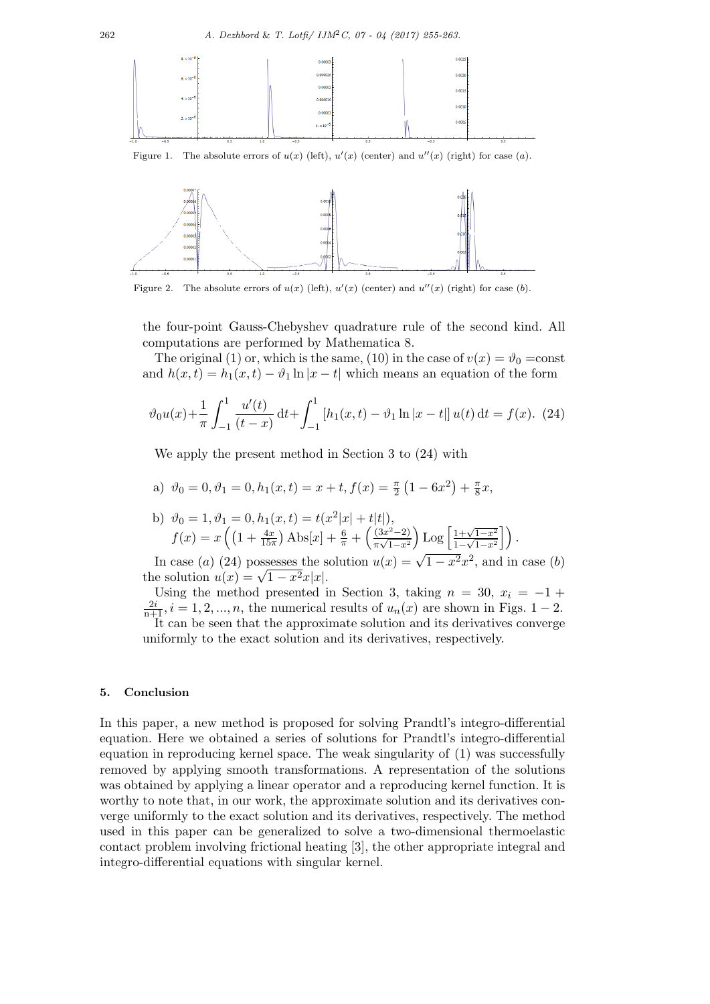

Figure 1. The absolute errors of  $u(x)$  (left),  $u'(x)$  (center) and  $u''(x)$  (right) for case (a).



Figure 2. The absolute errors of  $u(x)$  (left),  $u'(x)$  (center) and  $u''(x)$  (right) for case (b).

the four-point Gauss-Chebyshev quadrature rule of the second kind. All computations are performed by Mathematica 8.

The original (1) or, which is the same, (10) in the case of  $v(x) = \vartheta_0 = \text{const}$ and  $h(x, t) = h_1(x, t) - \vartheta_1 \ln |x - t|$  which means an equation of the form

$$
\vartheta_0 u(x) + \frac{1}{\pi} \int_{-1}^1 \frac{u'(t)}{(t-x)} dt + \int_{-1}^1 \left[ h_1(x, t) - \vartheta_1 \ln|x - t| \right] u(t) dt = f(x). \tag{24}
$$

We apply the present method in Section 3 to (24) with

a) 
$$
\vartheta_0 = 0, \vartheta_1 = 0, h_1(x, t) = x + t, f(x) = \frac{\pi}{2} (1 - 6x^2) + \frac{\pi}{8} x,
$$

b) 
$$
\vartheta_0 = 1, \vartheta_1 = 0, h_1(x, t) = t(x^2|x| + t|t|),
$$
  
\n $f(x) = x \left( \left( 1 + \frac{4x}{15\pi} \right) \text{Abs}[x] + \frac{6}{\pi} + \left( \frac{(3x^2 - 2)}{\pi\sqrt{1 - x^2}} \right) \text{Log}\left[ \frac{1 + \sqrt{1 - x^2}}{1 - \sqrt{1 - x^2}} \right] \right).$ 

In case (a) (24) possesses the solution  $u(x) = \sqrt{1-x^2}x^2$ , and in case (b) In case (*a*) (24) possesses the s<br>the solution  $u(x) = \sqrt{1-x^2}x|x|$ .

Using the method presented in Section 3, taking  $n = 30$ ,  $x_i = -1 +$  $\frac{2i}{n+1}$ ,  $i = 1, 2, ..., n$ , the numerical results of  $u_n(x)$  are shown in Figs. 1 – 2. It can be seen that the approximate solution and its derivatives converge uniformly to the exact solution and its derivatives, respectively.

### 5. Conclusion

In this paper, a new method is proposed for solving Prandtl's integro-differential equation. Here we obtained a series of solutions for Prandtl's integro-differential equation in reproducing kernel space. The weak singularity of (1) was successfully removed by applying smooth transformations. A representation of the solutions was obtained by applying a linear operator and a reproducing kernel function. It is worthy to note that, in our work, the approximate solution and its derivatives converge uniformly to the exact solution and its derivatives, respectively. The method used in this paper can be generalized to solve a two-dimensional thermoelastic contact problem involving frictional heating [3], the other appropriate integral and integro-differential equations with singular kernel.